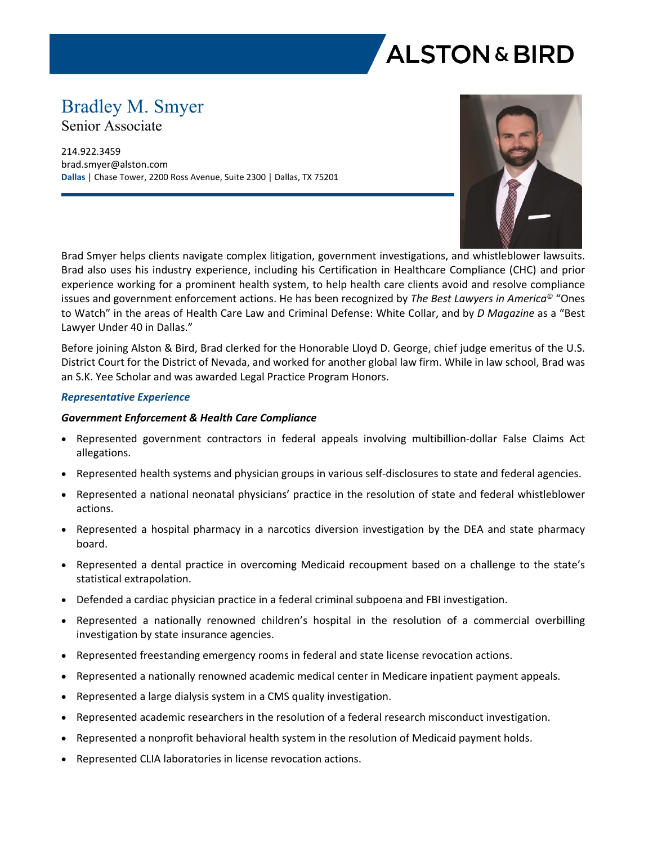

# Bradley M. Smyer

Senior Associate

214.922.3459 brad.smyer@alston.com **Dallas** | Chase Tower, 2200 Ross Avenue, Suite 2300 | Dallas, TX 75201



Brad Smyer helps clients navigate complex litigation, government investigations, and whistleblower lawsuits. Brad also uses his industry experience, including his Certification in Healthcare Compliance (CHC) and prior experience working for a prominent health system, to help health care clients avoid and resolve compliance issues and government enforcement actions. He has been recognized by *The Best Lawyers in America©* "Ones to Watch" in the areas of Health Care Law and Criminal Defense: White Collar, and by *D Magazine* as a "Best Lawyer Under 40 in Dallas."

Before joining Alston & Bird, Brad clerked for the Honorable Lloyd D. George, chief judge emeritus of the U.S. District Court for the District of Nevada, and worked for another global law firm. While in law school, Brad was an S.K. Yee Scholar and was awarded Legal Practice Program Honors.

### *Representative Experience*

## *Government Enforcement & Health Care Compliance*

- Represented government contractors in federal appeals involving multibillion-dollar False Claims Act allegations.
- Represented health systems and physician groups in various self-disclosures to state and federal agencies.
- Represented a national neonatal physicians' practice in the resolution of state and federal whistleblower actions.
- Represented a hospital pharmacy in a narcotics diversion investigation by the DEA and state pharmacy board.
- Represented a dental practice in overcoming Medicaid recoupment based on a challenge to the state's statistical extrapolation.
- Defended a cardiac physician practice in a federal criminal subpoena and FBI investigation.
- Represented a nationally renowned children's hospital in the resolution of a commercial overbilling investigation by state insurance agencies.
- Represented freestanding emergency rooms in federal and state license revocation actions.
- Represented a nationally renowned academic medical center in Medicare inpatient payment appeals.
- Represented a large dialysis system in a CMS quality investigation.
- Represented academic researchers in the resolution of a federal research misconduct investigation.
- Represented a nonprofit behavioral health system in the resolution of Medicaid payment holds.
- Represented CLIA laboratories in license revocation actions.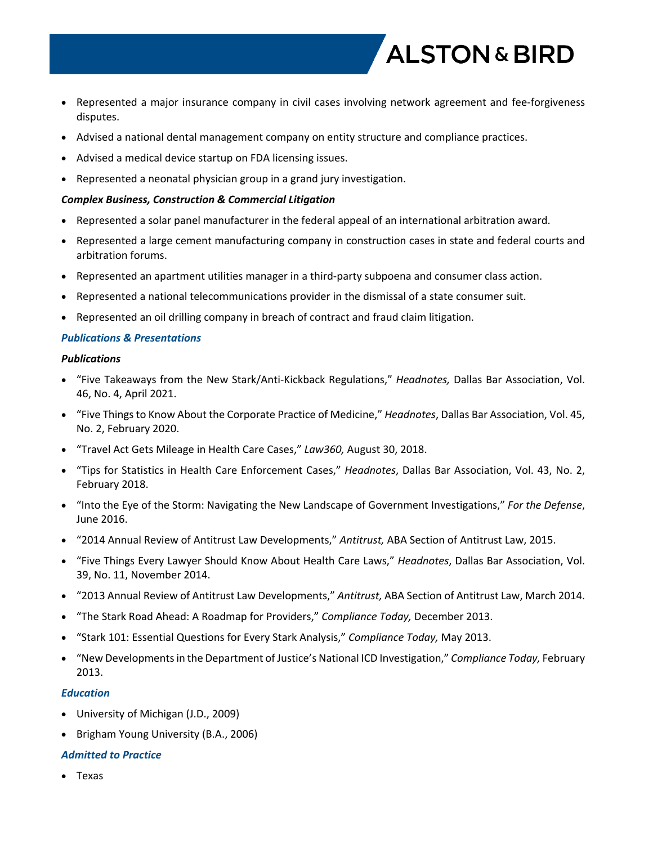

- Represented a major insurance company in civil cases involving network agreement and fee-forgiveness disputes.
- Advised a national dental management company on entity structure and compliance practices.
- Advised a medical device startup on FDA licensing issues.
- Represented a neonatal physician group in a grand jury investigation.

#### *Complex Business, Construction & Commercial Litigation*

- Represented a solar panel manufacturer in the federal appeal of an international arbitration award.
- Represented a large cement manufacturing company in construction cases in state and federal courts and arbitration forums.
- Represented an apartment utilities manager in a third-party subpoena and consumer class action.
- Represented a national telecommunications provider in the dismissal of a state consumer suit.
- Represented an oil drilling company in breach of contract and fraud claim litigation.

### *Publications & Presentations*

#### *Publications*

- "Five Takeaways from the New Stark/Anti-Kickback Regulations," *Headnotes,* Dallas Bar Association, Vol. 46, No. 4, April 2021.
- "Five Things to Know About the Corporate Practice of Medicine," *Headnotes*, Dallas Bar Association, Vol. 45, No. 2, February 2020.
- "Travel Act Gets Mileage in Health Care Cases," *Law360,* August 30, 2018.
- "Tips for Statistics in Health Care Enforcement Cases," *Headnotes*, Dallas Bar Association, Vol. 43, No. 2, February 2018.
- "Into the Eye of the Storm: Navigating the New Landscape of Government Investigations," *For the Defense*, June 2016.
- "2014 Annual Review of Antitrust Law Developments," *Antitrust,* ABA Section of Antitrust Law, 2015.
- "Five Things Every Lawyer Should Know About Health Care Laws," *Headnotes*, Dallas Bar Association, Vol. 39, No. 11, November 2014.
- "2013 Annual Review of Antitrust Law Developments," *Antitrust,* ABA Section of Antitrust Law, March 2014.
- "The Stark Road Ahead: A Roadmap for Providers," *Compliance Today,* December 2013.
- "Stark 101: Essential Questions for Every Stark Analysis," *Compliance Today,* May 2013.
- "New Developments in the Department of Justice's National ICD Investigation," *Compliance Today,* February 2013.

#### *Education*

- University of Michigan (J.D., 2009)
- Brigham Young University (B.A., 2006)

## *Admitted to Practice*

Texas